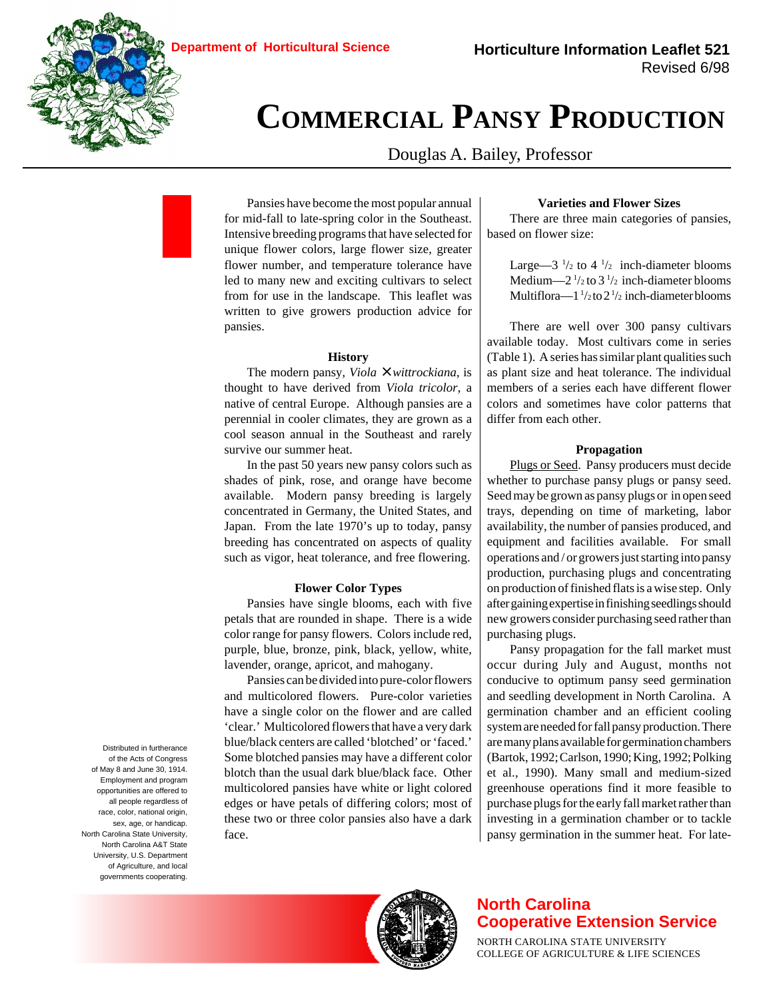

# **COMMERCIAL PANSY PRODUCTION**

Douglas A. Bailey, Professor

Pansies have become the most popular annual for mid-fall to late-spring color in the Southeast. Intensive breeding programs that have selected for unique flower colors, large flower size, greater flower number, and temperature tolerance have led to many new and exciting cultivars to select from for use in the landscape. This leaflet was written to give growers production advice for pansies.

### **History**

The modern pansy, *Viola* × *wittrockiana*, is thought to have derived from *Viola tricolor*, a native of central Europe. Although pansies are a perennial in cooler climates, they are grown as a cool season annual in the Southeast and rarely survive our summer heat.

In the past 50 years new pansy colors such as shades of pink, rose, and orange have become available. Modern pansy breeding is largely concentrated in Germany, the United States, and Japan. From the late 1970's up to today, pansy breeding has concentrated on aspects of quality such as vigor, heat tolerance, and free flowering.

#### **Flower Color Types**

Pansies have single blooms, each with five petals that are rounded in shape. There is a wide color range for pansy flowers. Colors include red, purple, blue, bronze, pink, black, yellow, white, lavender, orange, apricot, and mahogany.

Pansies can be divided into pure-color flowers and multicolored flowers. Pure-color varieties have a single color on the flower and are called 'clear.' Multicolored flowers that have a very dark blue/black centers are called 'blotched' or 'faced.' Some blotched pansies may have a different color blotch than the usual dark blue/black face. Other multicolored pansies have white or light colored edges or have petals of differing colors; most of these two or three color pansies also have a dark face.

# **Varieties and Flower Sizes**

There are three main categories of pansies, based on flower size:

> Large—3  $\frac{1}{2}$  to 4  $\frac{1}{2}$  inch-diameter blooms Medium— $2^{1/2}$  to  $3^{1/2}$  inch-diameter blooms Multiflora— $1\frac{1}{2}$  to  $2\frac{1}{2}$  inch-diameter blooms

There are well over 300 pansy cultivars available today. Most cultivars come in series (Table 1). A series has similar plant qualities such as plant size and heat tolerance. The individual members of a series each have different flower colors and sometimes have color patterns that differ from each other.

# **Propagation**

Plugs or Seed. Pansy producers must decide whether to purchase pansy plugs or pansy seed. Seed may be grown as pansy plugs or in open seed trays, depending on time of marketing, labor availability, the number of pansies produced, and equipment and facilities available. For small operations and / or growers just starting into pansy production, purchasing plugs and concentrating on production of finished flats is a wise step. Only after gaining expertise in finishing seedlings should new growers consider purchasing seed rather than purchasing plugs.

Pansy propagation for the fall market must occur during July and August, months not conducive to optimum pansy seed germination and seedling development in North Carolina. A germination chamber and an efficient cooling system are needed for fall pansy production. There are many plans available for germination chambers (Bartok, 1992; Carlson, 1990; King, 1992; Polking et al., 1990). Many small and medium-sized greenhouse operations find it more feasible to purchase plugs for the early fall market rather than investing in a germination chamber or to tackle pansy germination in the summer heat. For late-

of the Acts of Congress of May 8 and June 30, 1914. Employment and program opportunities are offered to all people regardless of race, color, national origin, sex, age, or handicap. North Carolina State University, North Carolina A&T State University, U.S. Department of Agriculture, and local governments cooperating.

Distributed in furtherance



# **North Carolina Cooperative Extension Service**

NORTH CAROLINA STATE UNIVERSITY COLLEGE OF AGRICULTURE & LIFE SCIENCES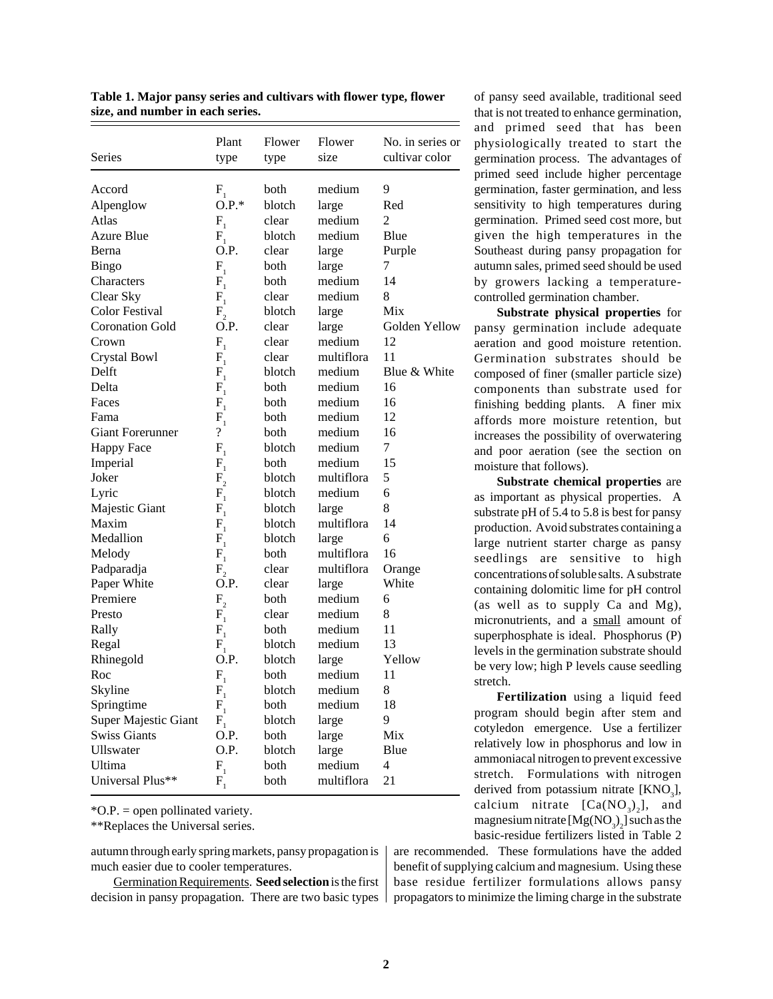| Series                  | Plant<br>type                         | Flower<br>type | Flower<br>size | No. in series or<br>cultivar color |
|-------------------------|---------------------------------------|----------------|----------------|------------------------------------|
| Accord                  | $\mathbf{F}_{_{1}}$                   | both           | medium         | 9                                  |
| Alpenglow               | $O.P.*$                               | blotch         | large          | Red                                |
| Atlas                   | $F_{1}$                               | clear          | medium         | 2                                  |
| <b>Azure Blue</b>       | $F_1$                                 | blotch         | medium         | Blue                               |
| Berna                   | O.P.                                  | clear          | large          | Purple                             |
| <b>Bingo</b>            | $F_{1}$                               | both           | large          | 7                                  |
| Characters              | $F_{\rm 1}$                           | both           | medium         | 14                                 |
| Clear Sky               | $F_{1}$                               | clear          | medium         | 8                                  |
| <b>Color Festival</b>   | $F_{2}$                               | blotch         | large          | Mix                                |
| <b>Coronation Gold</b>  | O.P.                                  | clear          | large          | Golden Yellow                      |
| Crown                   | $F_{1}$                               | clear          | medium         | 12                                 |
| Crystal Bowl            | $F_1$                                 | clear          | multiflora     | 11                                 |
| Delft                   | $F_{\overline{1}}$                    | blotch         | medium         | Blue & White                       |
| Delta                   | $F_{1}$                               | both           | medium         | 16                                 |
| Faces                   | $F_{1}$                               | both           | medium         | 16                                 |
| Fama                    | $F_{1}$                               | both           | medium         | 12                                 |
| <b>Giant Forerunner</b> | $\overline{\mathcal{C}}$              | both           | medium         | 16                                 |
| <b>Happy Face</b>       | $F_{1}$                               | blotch         | medium         | 7                                  |
| Imperial                | $\mathbf{F}_{_{1}}$                   | both           | medium         | 15                                 |
| Joker                   | $F_{2}$                               | blotch         | multiflora     | 5                                  |
| Lyric                   | ${\rm F}^{\vphantom{\dagger}}_1$      | blotch         | medium         | 6                                  |
| Majestic Giant          | $F_{1}$                               | blotch         | large          | 8                                  |
| Maxim                   | $F_{1}$                               | blotch         | multiflora     | 14                                 |
| Medallion               | $F_{1}$                               | blotch         | large          | 6                                  |
| Melody                  | $F_{1}$                               | both           | multiflora     | 16                                 |
| Padparadja              | $F_{2}$                               | clear          | multiflora     | Orange                             |
| Paper White             | O.P.                                  | clear          | large          | White                              |
| Premiere                | $F_{2}$                               | both           | medium         | 6                                  |
| Presto                  | $F_{1}$                               | clear          | medium         | 8                                  |
| Rally                   | $F_{1}$                               | both           | medium         | 11                                 |
| Regal                   | $\mathbf{F}_{\!_{1}}$                 | blotch         | medium         | 13                                 |
| Rhinegold               | O.P.                                  | blotch         | large          | Yellow                             |
| Roc                     | $F_{1}$                               | both           | medium         | 11                                 |
| Skyline                 | $\mathbf{F}_{\!\scriptscriptstyle 1}$ | blotch         | medium         | 8                                  |
| Springtime              | $F_{1}$                               | both           | medium         | 18                                 |
| Super Majestic Giant    | $F_{1}$                               | blotch         | large          | 9                                  |
| <b>Swiss Giants</b>     | O.P.                                  | both           | large          | Mix                                |
| Ullswater               | O.P.                                  | blotch         | large          | Blue                               |
| Ultima                  | $F_{1}$                               | both           | medium         | $\overline{4}$                     |
| Universal Plus**        | $F_{1}$                               | both           | multiflora     | 21                                 |

**Table 1. Major pansy series and cultivars with flower type, flower size, and number in each series.**

\*O.P. = open pollinated variety.

\*\*Replaces the Universal series.

autumn through early spring markets, pansy propagation is much easier due to cooler temperatures.

Germination Requirements. **Seed selection** is the first decision in pansy propagation. There are two basic types

of pansy seed available, traditional seed that is not treated to enhance germination, and primed seed that has been physiologically treated to start the germination process. The advantages of primed seed include higher percentage germination, faster germination, and less sensitivity to high temperatures during germination. Primed seed cost more, but given the high temperatures in the Southeast during pansy propagation for autumn sales, primed seed should be used by growers lacking a temperaturecontrolled germination chamber.

**Substrate physical properties** for pansy germination include adequate aeration and good moisture retention. Germination substrates should be composed of finer (smaller particle size) components than substrate used for finishing bedding plants. A finer mix affords more moisture retention, but increases the possibility of overwatering and poor aeration (see the section on moisture that follows).

**Substrate chemical properties** are as important as physical properties. A substrate pH of 5.4 to 5.8 is best for pansy production. Avoid substrates containing a large nutrient starter charge as pansy seedlings are sensitive to high concentrations of soluble salts. A substrate containing dolomitic lime for pH control (as well as to supply Ca and Mg), micronutrients, and a small amount of superphosphate is ideal. Phosphorus (P) levels in the germination substrate should be very low; high P levels cause seedling stretch.

**Fertilization** using a liquid feed program should begin after stem and cotyledon emergence. Use a fertilizer relatively low in phosphorus and low in ammoniacal nitrogen to prevent excessive stretch. Formulations with nitrogen derived from potassium nitrate  $[KNO<sub>3</sub>]$ , calcium nitrate  $[Ca(NO<sub>3</sub>)<sub>3</sub>]$ , and magnesium nitrate  $[Mg(NO<sub>3</sub>)<sub>2</sub>]$  such as the basic-residue fertilizers listed in Table 2

are recommended. These formulations have the added benefit of supplying calcium and magnesium. Using these base residue fertilizer formulations allows pansy propagators to minimize the liming charge in the substrate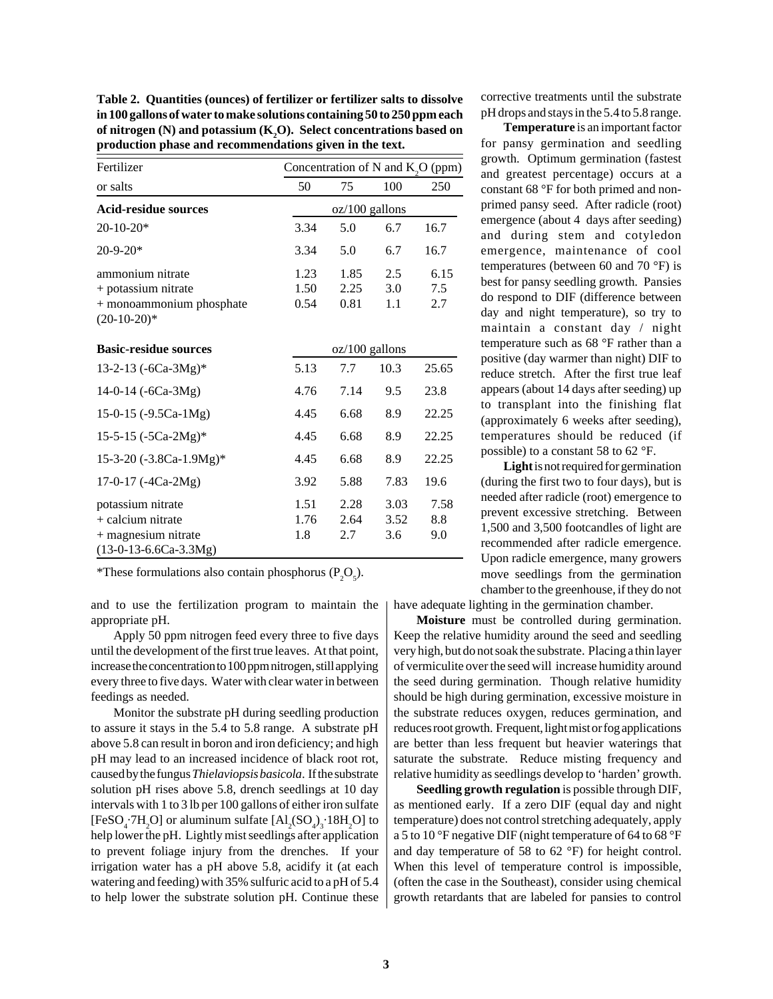**Table 2. Quantities (ounces) of fertilizer or fertilizer salts to dissolve in 100 gallons of water to make solutions containing 50 to 250 ppm each of nitrogen (N) and potassium (K2 O). Select concentrations based on production phase and recommendations given in the text.**

| Fertilizer                                                                           |                      |                      |                   | Concentration of N and $K_2O$ (ppm) |
|--------------------------------------------------------------------------------------|----------------------|----------------------|-------------------|-------------------------------------|
| or salts                                                                             | 50                   | 75                   | 100               | 250                                 |
| Acid-residue sources                                                                 |                      | $oz/100$ gallons     |                   |                                     |
| $20-10-20*$                                                                          | 3.34                 | 5.0                  | 6.7               | 16.7                                |
| $20-9-20*$                                                                           | 3.34                 | 5.0                  | 6.7               | 16.7                                |
| ammonium nitrate<br>+ potassium nitrate<br>+ monoammonium phosphate<br>$(20-10-20)*$ | 1.23<br>1.50<br>0.54 | 1.85<br>2.25<br>0.81 | 2.5<br>3.0<br>1.1 | 6.15<br>7.5<br>2.7                  |

| <b>Basic-residue sources</b> |      | oz/100 gallons |      |       |
|------------------------------|------|----------------|------|-------|
| 13-2-13 $(-6Ca-3Mg)*$        | 5.13 | 7.7            | 10.3 | 25.65 |
| 14-0-14 $(-6Ca-3Mg)$         | 4.76 | 7.14           | 9.5  | 23.8  |
| 15-0-15 $(-9.5Ca-1Mg)$       | 4.45 | 6.68           | 8.9  | 22.25 |
| 15-5-15 $(-5Ca-2Mg)*$        | 4.45 | 6.68           | 8.9  | 22.25 |
| 15-3-20 (-3.8Ca-1.9Mg)*      | 4.45 | 6.68           | 8.9  | 22.25 |
| 17-0-17 $(-4Ca-2Mg)$         | 3.92 | 5.88           | 7.83 | 19.6  |
| potassium nitrate            | 1.51 | 2.28           | 3.03 | 7.58  |
| $+$ calcium nitrate          | 1.76 | 2.64           | 3.52 | 8.8   |
| $+$ magnesium nitrate        | 1.8  | 2.7            | 3.6  | 9.0   |
| $(13-0-13-6.6Ca-3.3Mg)$      |      |                |      |       |

\*These formulations also contain phosphorus  $(P_2O_5)$ .

and to use the fertilization program to maintain the appropriate pH.

Apply 50 ppm nitrogen feed every three to five days until the development of the first true leaves. At that point, increase the concentration to 100 ppm nitrogen, still applying every three to five days. Water with clear water in between feedings as needed.

Monitor the substrate pH during seedling production to assure it stays in the 5.4 to 5.8 range. A substrate pH above 5.8 can result in boron and iron deficiency; and high pH may lead to an increased incidence of black root rot, caused by the fungus *Thielaviopsis basicola*. If the substrate solution pH rises above 5.8, drench seedlings at 10 day intervals with 1 to 3 lb per 100 gallons of either iron sulfate [FeSO<sub>4</sub> $\cdot$ 7H<sub>2</sub>O] or aluminum sulfate  $[Al_2(SO_4)_3 \cdot 18H_2O]$  to help lower the pH. Lightly mist seedlings after application to prevent foliage injury from the drenches. If your irrigation water has a pH above 5.8, acidify it (at each watering and feeding) with 35% sulfuric acid to a pH of 5.4 to help lower the substrate solution pH. Continue these

corrective treatments until the substrate pH drops and stays in the 5.4 to 5.8 range.

**Temperature** is an important factor for pansy germination and seedling growth. Optimum germination (fastest and greatest percentage) occurs at a constant 68 °F for both primed and nonprimed pansy seed. After radicle (root) emergence (about 4 days after seeding) and during stem and cotyledon emergence, maintenance of cool temperatures (between 60 and 70 °F) is best for pansy seedling growth. Pansies do respond to DIF (difference between day and night temperature), so try to maintain a constant day / night temperature such as 68 °F rather than a positive (day warmer than night) DIF to reduce stretch. After the first true leaf appears (about 14 days after seeding) up to transplant into the finishing flat (approximately 6 weeks after seeding), temperatures should be reduced (if possible) to a constant 58 to 62 °F.

**Light** is not required for germination (during the first two to four days), but is needed after radicle (root) emergence to prevent excessive stretching. Between 1,500 and 3,500 footcandles of light are recommended after radicle emergence. Upon radicle emergence, many growers move seedlings from the germination chamber to the greenhouse, if they do not

have adequate lighting in the germination chamber.

**Moisture** must be controlled during germination. Keep the relative humidity around the seed and seedling very high, but do not soak the substrate. Placing a thin layer of vermiculite over the seed will increase humidity around the seed during germination. Though relative humidity should be high during germination, excessive moisture in the substrate reduces oxygen, reduces germination, and reduces root growth. Frequent, light mist or fog applications are better than less frequent but heavier waterings that saturate the substrate. Reduce misting frequency and relative humidity as seedlings develop to 'harden' growth.

**Seedling growth regulation** is possible through DIF, as mentioned early. If a zero DIF (equal day and night temperature) does not control stretching adequately, apply a 5 to 10 °F negative DIF (night temperature of 64 to 68 °F and day temperature of 58 to 62 °F) for height control. When this level of temperature control is impossible, (often the case in the Southeast), consider using chemical growth retardants that are labeled for pansies to control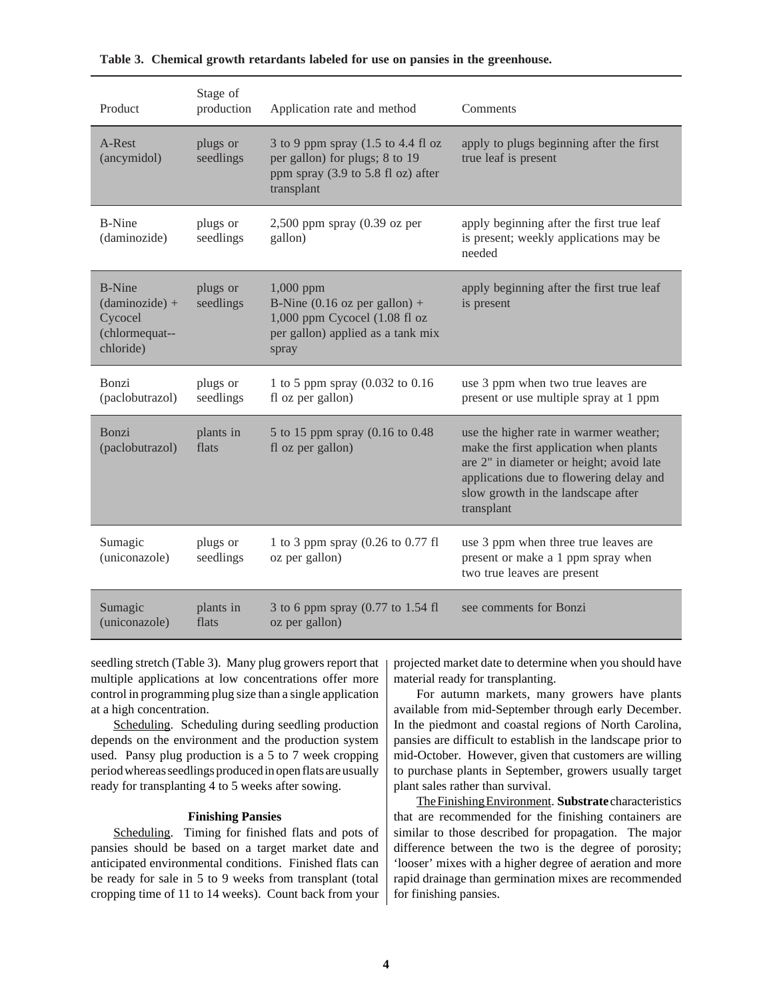| Product                                                                             | Stage of<br>production | Application rate and method                                                                                                           | Comments                                                                                                                                                                                                      |
|-------------------------------------------------------------------------------------|------------------------|---------------------------------------------------------------------------------------------------------------------------------------|---------------------------------------------------------------------------------------------------------------------------------------------------------------------------------------------------------------|
| $A-Rest^{\circledR}$<br>(ancymidol)                                                 | plugs or<br>seedlings  | 3 to 9 ppm spray (1.5 to 4.4 fl oz<br>per gallon) for plugs; 8 to 19<br>ppm spray (3.9 to 5.8 fl oz) after<br>transplant              | apply to plugs beginning after the first<br>true leaf is present                                                                                                                                              |
| $B-Nine^{\otimes}$<br>(daminozide)                                                  | plugs or<br>seedlings  | $2,500$ ppm spray $(0.39 \text{ oz per})$<br>gallon)                                                                                  | apply beginning after the first true leaf<br>is present; weekly applications may be<br>needed                                                                                                                 |
| $B-Nine^{\circledR}$<br>$(daminozide) +$<br>Cycocel®<br>(chlormequat--<br>chloride) | plugs or<br>seedlings  | $1,000$ ppm<br>B-Nine $(0.16 \text{ oz per gallon}) +$<br>1,000 ppm Cycocel (1.08 fl oz<br>per gallon) applied as a tank mix<br>spray | apply beginning after the first true leaf<br>is present                                                                                                                                                       |
| Bonzi <sup>®</sup><br>(paclobutrazol)                                               | plugs or<br>seedlings  | 1 to 5 ppm spray (0.032 to 0.16)<br>fl oz per gallon)                                                                                 | use 3 ppm when two true leaves are<br>present or use multiple spray at 1 ppm                                                                                                                                  |
| $Bonzi^{\circledR}$<br>(paclobutrazol)                                              | plants in<br>flats     | 5 to 15 ppm spray (0.16 to 0.48)<br>fl oz per gallon)                                                                                 | use the higher rate in warmer weather;<br>make the first application when plants<br>are 2" in diameter or height; avoid late<br>applications due to flowering delay and<br>slow growth in the landscape after |
|                                                                                     |                        |                                                                                                                                       | transplant                                                                                                                                                                                                    |
| Sumagic <sup>®</sup><br>(uniconazole)                                               | plugs or<br>seedlings  | 1 to 3 ppm spray (0.26 to 0.77 fl<br>oz per gallon)                                                                                   | use 3 ppm when three true leaves are<br>present or make a 1 ppm spray when<br>two true leaves are present                                                                                                     |

# **Table 3. Chemical growth retardants labeled for use on pansies in the greenhouse.**

seedling stretch (Table 3). Many plug growers report that multiple applications at low concentrations offer more control in programming plug size than a single application at a high concentration.

Scheduling. Scheduling during seedling production depends on the environment and the production system used. Pansy plug production is a 5 to 7 week cropping period whereas seedlings produced in open flats are usually ready for transplanting 4 to 5 weeks after sowing.

#### **Finishing Pansies**

Scheduling. Timing for finished flats and pots of pansies should be based on a target market date and anticipated environmental conditions. Finished flats can be ready for sale in 5 to 9 weeks from transplant (total cropping time of 11 to 14 weeks). Count back from your

projected market date to determine when you should have material ready for transplanting.

For autumn markets, many growers have plants available from mid-September through early December. In the piedmont and coastal regions of North Carolina, pansies are difficult to establish in the landscape prior to mid-October. However, given that customers are willing to purchase plants in September, growers usually target plant sales rather than survival.

The Finishing Environment. **Substrate** characteristics that are recommended for the finishing containers are similar to those described for propagation. The major difference between the two is the degree of porosity; 'looser' mixes with a higher degree of aeration and more rapid drainage than germination mixes are recommended for finishing pansies.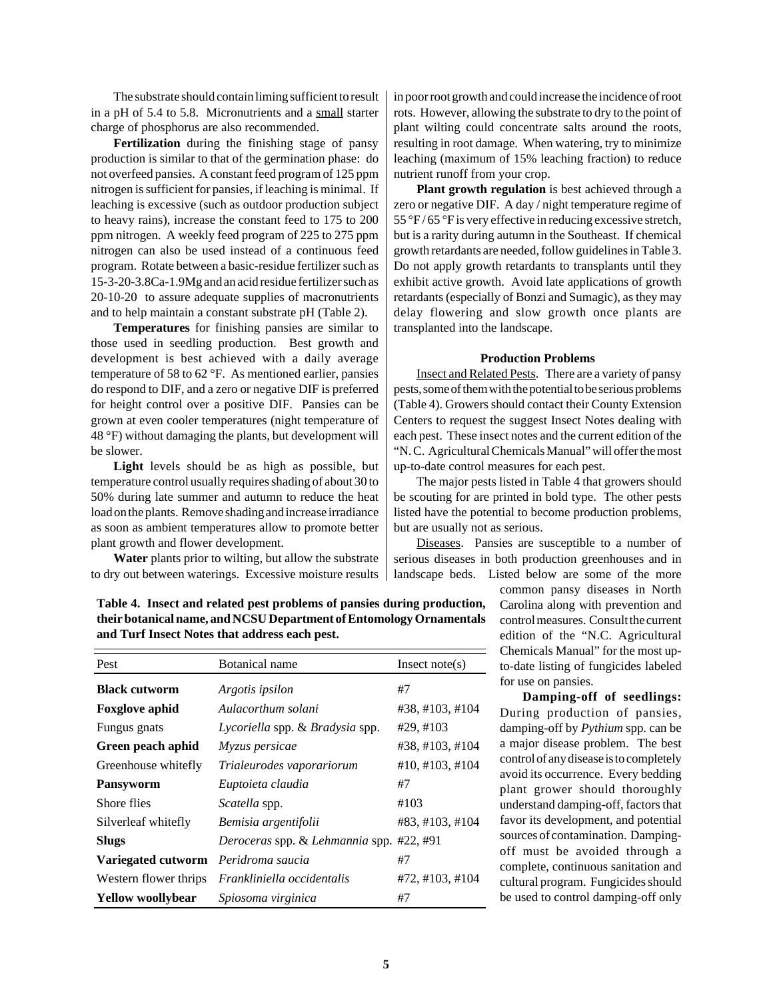The substrate should contain liming sufficient to result in a pH of 5.4 to 5.8. Micronutrients and a small starter charge of phosphorus are also recommended.

**Fertilization** during the finishing stage of pansy production is similar to that of the germination phase: do not overfeed pansies. A constant feed program of 125 ppm nitrogen is sufficient for pansies, if leaching is minimal. If leaching is excessive (such as outdoor production subject to heavy rains), increase the constant feed to 175 to 200 ppm nitrogen. A weekly feed program of 225 to 275 ppm nitrogen can also be used instead of a continuous feed program. Rotate between a basic-residue fertilizer such as 15-3-20-3.8Ca-1.9Mg and an acid residue fertilizer such as 20-10-20 to assure adequate supplies of macronutrients and to help maintain a constant substrate pH (Table 2).

**Temperatures** for finishing pansies are similar to those used in seedling production. Best growth and development is best achieved with a daily average temperature of 58 to 62 °F. As mentioned earlier, pansies do respond to DIF, and a zero or negative DIF is preferred for height control over a positive DIF. Pansies can be grown at even cooler temperatures (night temperature of 48 °F) without damaging the plants, but development will be slower.

**Light** levels should be as high as possible, but temperature control usually requires shading of about 30 to 50% during late summer and autumn to reduce the heat load on the plants. Remove shading and increase irradiance as soon as ambient temperatures allow to promote better plant growth and flower development.

**Water** plants prior to wilting, but allow the substrate to dry out between waterings. Excessive moisture results

in poor root growth and could increase the incidence of root rots. However, allowing the substrate to dry to the point of plant wilting could concentrate salts around the roots, resulting in root damage. When watering, try to minimize leaching (maximum of 15% leaching fraction) to reduce nutrient runoff from your crop.

**Plant growth regulation** is best achieved through a zero or negative DIF. A day / night temperature regime of 55 °F / 65 °F is very effective in reducing excessive stretch, but is a rarity during autumn in the Southeast. If chemical growth retardants are needed, follow guidelines in Table 3. Do not apply growth retardants to transplants until they exhibit active growth. Avoid late applications of growth retardants (especially of Bonzi and Sumagic), as they may delay flowering and slow growth once plants are transplanted into the landscape.

#### **Production Problems**

Insect and Related Pests. There are a variety of pansy pests, some of them with the potential to be serious problems (Table 4). Growers should contact their County Extension Centers to request the suggest Insect Notes dealing with each pest. These insect notes and the current edition of the "N. C. Agricultural Chemicals Manual" will offer the most up-to-date control measures for each pest.

The major pests listed in Table 4 that growers should be scouting for are printed in bold type. The other pests listed have the potential to become production problems, but are usually not as serious.

Diseases. Pansies are susceptible to a number of serious diseases in both production greenhouses and in landscape beds. Listed below are some of the more

common pansy diseases in North Carolina along with prevention and control measures. Consult the current edition of the "N.C. Agricultural Chemicals Manual" for the most upto-date listing of fungicides labeled for use on pansies.

**Damping-off of seedlings:** During production of pansies, damping-off by *Pythium* spp. can be a major disease problem. The best control of any disease is to completely avoid its occurrence. Every bedding plant grower should thoroughly understand damping-off, factors that favor its development, and potential sources of contamination. Dampingoff must be avoided through a complete, continuous sanitation and cultural program. Fungicides should be used to control damping-off only

**Table 4. Insect and related pest problems of pansies during production, their botanical name, and NCSU Department of Entomology Ornamentals and Turf Insect Notes that address each pest.**

| Pest                     | Botanical name                           | Insect note(s)       |
|--------------------------|------------------------------------------|----------------------|
| <b>Black cutworm</b>     | Argotis ipsilon                          | #7                   |
| <b>Foxglove aphid</b>    | Aulacorthum solani                       | #38, #103, #104      |
| Fungus gnats             | Lycoriella spp. & Bradysia spp.          | #29, #103            |
| Green peach aphid        | Myzus persicae                           | #38, #103, #104      |
| Greenhouse whitefly      | Trialeurodes vaporariorum                | $\#10, \#103, \#104$ |
| <b>Pansyworm</b>         | Euptoieta claudia                        | #7                   |
| Shore flies              | <i>Scatella</i> spp.                     | #103                 |
| Silverleaf whitefly      | Bemisia argentifolii                     | #83, #103, #104      |
| <b>Slugs</b>             | Deroceras spp. & Lehmannia spp. #22, #91 |                      |
| Variegated cutworm       | Peridroma saucia                         | #7                   |
| Western flower thrips    | Frankliniella occidentalis               | #72, #103, #104      |
| <b>Yellow woollybear</b> | Spiosoma virginica                       | #7                   |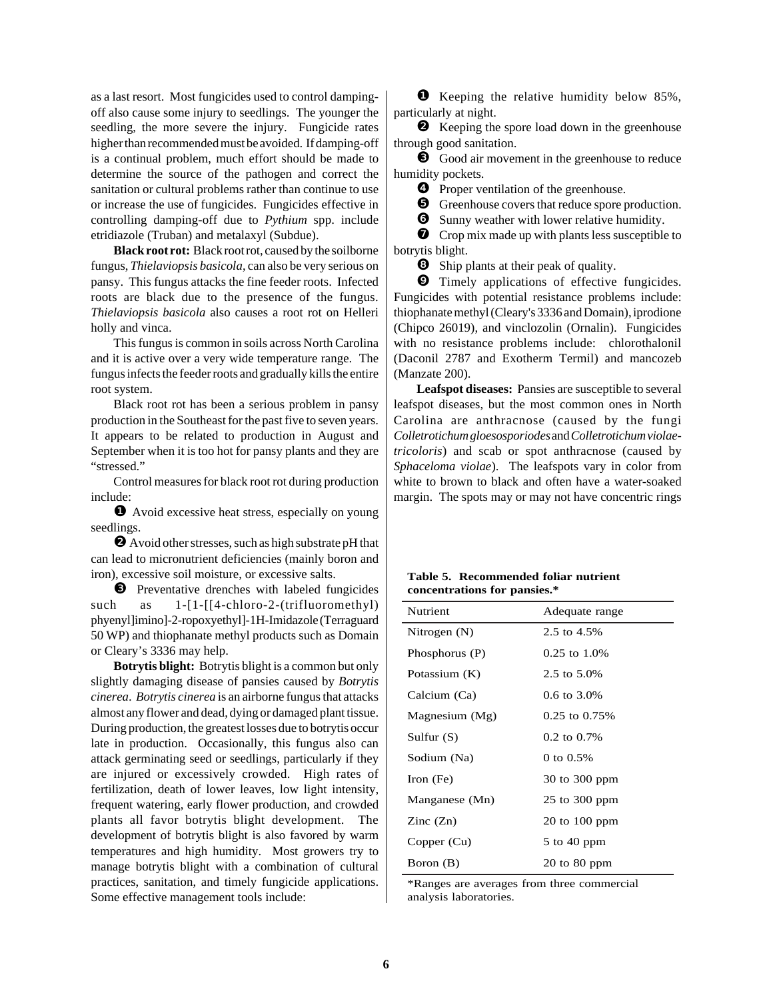as a last resort. Most fungicides used to control dampingoff also cause some injury to seedlings. The younger the seedling, the more severe the injury. Fungicide rates higher than recommended must be avoided. If damping-off is a continual problem, much effort should be made to determine the source of the pathogen and correct the sanitation or cultural problems rather than continue to use or increase the use of fungicides. Fungicides effective in controlling damping-off due to *Pythium* spp. include etridiazole (Truban) and metalaxyl (Subdue).

**Black root rot:** Black root rot, caused by the soilborne fungus, *Thielaviopsis basicola*, can also be very serious on pansy. This fungus attacks the fine feeder roots. Infected roots are black due to the presence of the fungus. *Thielaviopsis basicola* also causes a root rot on Helleri holly and vinca.

This fungus is common in soils across North Carolina and it is active over a very wide temperature range. The fungus infects the feeder roots and gradually kills the entire root system.

Black root rot has been a serious problem in pansy production in the Southeast for the past five to seven years. It appears to be related to production in August and September when it is too hot for pansy plants and they are "stressed."

Control measures for black root rot during production include:

❶ Avoid excessive heat stress, especially on young seedlings.

❷ Avoid other stresses, such as high substrate pH that can lead to micronutrient deficiencies (mainly boron and iron), excessive soil moisture, or excessive salts.

❸ Preventative drenches with labeled fungicides such as 1-[1-[[4-chloro-2-(trifluoromethyl) phyenyl]imino]-2-ropoxyethyl]-1H-Imidazole (Terraguard 50 WP) and thiophanate methyl products such as Domain or Cleary's 3336 may help.

**Botrytis blight:** Botrytis blight is a common but only slightly damaging disease of pansies caused by *Botrytis cinerea*. *Botrytis cinerea* is an airborne fungus that attacks almost any flower and dead, dying or damaged plant tissue. During production, the greatest losses due to botrytis occur late in production. Occasionally, this fungus also can attack germinating seed or seedlings, particularly if they are injured or excessively crowded. High rates of fertilization, death of lower leaves, low light intensity, frequent watering, early flower production, and crowded plants all favor botrytis blight development. The development of botrytis blight is also favored by warm temperatures and high humidity. Most growers try to manage botrytis blight with a combination of cultural practices, sanitation, and timely fungicide applications. Some effective management tools include:

❶ Keeping the relative humidity below 85%, particularly at night.

❷ Keeping the spore load down in the greenhouse through good sanitation.

❸ Good air movement in the greenhouse to reduce humidity pockets.

❹ Proper ventilation of the greenhouse.

❺ Greenhouse covers that reduce spore production.

 $\bullet$  Sunny weather with lower relative humidity.

❼ Crop mix made up with plants less susceptible to botrytis blight.

 $\bullet$  Ship plants at their peak of quality.

❾ Timely applications of effective fungicides. Fungicides with potential resistance problems include: thiophanate methyl (Cleary's 3336 and Domain), iprodione (Chipco 26019), and vinclozolin (Ornalin). Fungicides with no resistance problems include: chlorothalonil (Daconil 2787 and Exotherm Termil) and mancozeb (Manzate 200).

**Leafspot diseases:** Pansies are susceptible to several leafspot diseases, but the most common ones in North Carolina are anthracnose (caused by the fungi *Colletrotichum gloesosporiodes* and *Colletrotichum violaetricoloris*) and scab or spot anthracnose (caused by *Sphaceloma violae*). The leafspots vary in color from white to brown to black and often have a water-soaked margin. The spots may or may not have concentric rings

| Table 5. Recommended foliar nutrient |  |
|--------------------------------------|--|
| concentrations for pansies.*         |  |

| <b>Nutrient</b>          | Adequate range                   |
|--------------------------|----------------------------------|
| Nitrogen $(N)$           | 2.5 to 4.5%                      |
| Phosphorus (P)           | $0.25$ to $1.0\%$                |
| Potassium (K)            | 2.5 to 5.0%                      |
| Calcium (Ca)             | $0.6 \text{ to } 3.0\%$          |
| Magnesium $(Mg)$         | $0.25$ to $0.75\%$               |
| Sulfur $(S)$             | $0.2$ to $0.7\%$                 |
| Sodium (Na)              | 0 to $0.5%$                      |
| Iron $(Fe)$              | 30 to 300 ppm                    |
| Manganese (Mn)           | $25$ to $300$ ppm                |
| $\text{Zinc}(\text{Zn})$ | $20 \text{ to } 100 \text{ ppm}$ |
| Copper (Cu)              | $5$ to 40 ppm                    |
| Boron (B)                | $20 \text{ to } 80 \text{ ppm}$  |
|                          |                                  |

\*Ranges are averages from three commercial analysis laboratories.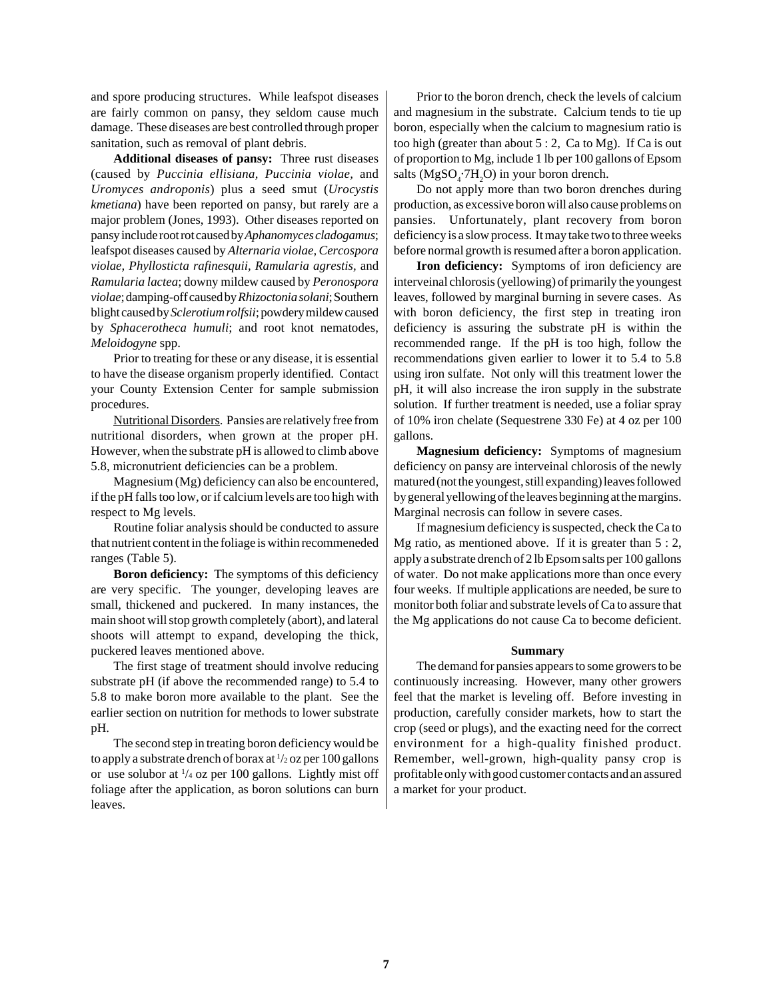and spore producing structures. While leafspot diseases are fairly common on pansy, they seldom cause much damage. These diseases are best controlled through proper sanitation, such as removal of plant debris.

**Additional diseases of pansy:** Three rust diseases (caused by *Puccinia ellisiana, Puccinia violae,* and *Uromyces androponis*) plus a seed smut (*Urocystis kmetiana*) have been reported on pansy, but rarely are a major problem (Jones, 1993). Other diseases reported on pansy include root rot caused by *Aphanomyces cladogamus*; leafspot diseases caused by *Alternaria violae, Cercospora violae, Phyllosticta rafinesquii, Ramularia agrestis,* and *Ramularia lactea*; downy mildew caused by *Peronospora violae*; damping-off caused by *Rhizoctonia solani*; Southern blight caused by *Sclerotium rolfsii*; powdery mildew caused by *Sphacerotheca humuli*; and root knot nematodes, *Meloidogyne* spp.

Prior to treating for these or any disease, it is essential to have the disease organism properly identified. Contact your County Extension Center for sample submission procedures.

Nutritional Disorders. Pansies are relatively free from nutritional disorders, when grown at the proper pH. However, when the substrate pH is allowed to climb above 5.8, micronutrient deficiencies can be a problem.

Magnesium (Mg) deficiency can also be encountered, if the pH falls too low, or if calcium levels are too high with respect to Mg levels.

Routine foliar analysis should be conducted to assure that nutrient content in the foliage is within recommeneded ranges (Table 5).

**Boron deficiency:** The symptoms of this deficiency are very specific. The younger, developing leaves are small, thickened and puckered. In many instances, the main shoot will stop growth completely (abort), and lateral shoots will attempt to expand, developing the thick, puckered leaves mentioned above.

The first stage of treatment should involve reducing substrate pH (if above the recommended range) to 5.4 to 5.8 to make boron more available to the plant. See the earlier section on nutrition for methods to lower substrate pH.

The second step in treating boron deficiency would be to apply a substrate drench of borax at  $\frac{1}{2}$  oz per 100 gallons or use solubor at 1 /4 oz per 100 gallons. Lightly mist off foliage after the application, as boron solutions can burn leaves.

Prior to the boron drench, check the levels of calcium and magnesium in the substrate. Calcium tends to tie up boron, especially when the calcium to magnesium ratio is too high (greater than about 5 : 2, Ca to Mg). If Ca is out of proportion to Mg, include 1 lb per 100 gallons of Epsom salts ( $MgSO<sub>4</sub>·7H<sub>2</sub>O$ ) in your boron drench.

Do not apply more than two boron drenches during production, as excessive boron will also cause problems on pansies. Unfortunately, plant recovery from boron deficiency is a slow process. It may take two to three weeks before normal growth is resumed after a boron application.

**Iron deficiency:** Symptoms of iron deficiency are interveinal chlorosis (yellowing) of primarily the youngest leaves, followed by marginal burning in severe cases. As with boron deficiency, the first step in treating iron deficiency is assuring the substrate pH is within the recommended range. If the pH is too high, follow the recommendations given earlier to lower it to 5.4 to 5.8 using iron sulfate. Not only will this treatment lower the pH, it will also increase the iron supply in the substrate solution. If further treatment is needed, use a foliar spray of 10% iron chelate (Sequestrene 330 Fe) at 4 oz per 100 gallons.

**Magnesium deficiency:** Symptoms of magnesium deficiency on pansy are interveinal chlorosis of the newly matured (not the youngest, still expanding) leaves followed by general yellowing of the leaves beginning at the margins. Marginal necrosis can follow in severe cases.

If magnesium deficiency is suspected, check the Ca to Mg ratio, as mentioned above. If it is greater than 5 : 2, apply a substrate drench of 2 lb Epsom salts per 100 gallons of water. Do not make applications more than once every four weeks. If multiple applications are needed, be sure to monitor both foliar and substrate levels of Ca to assure that the Mg applications do not cause Ca to become deficient.

### **Summary**

The demand for pansies appears to some growers to be continuously increasing. However, many other growers feel that the market is leveling off. Before investing in production, carefully consider markets, how to start the crop (seed or plugs), and the exacting need for the correct environment for a high-quality finished product. Remember, well-grown, high-quality pansy crop is profitable only with good customer contacts and an assured a market for your product.